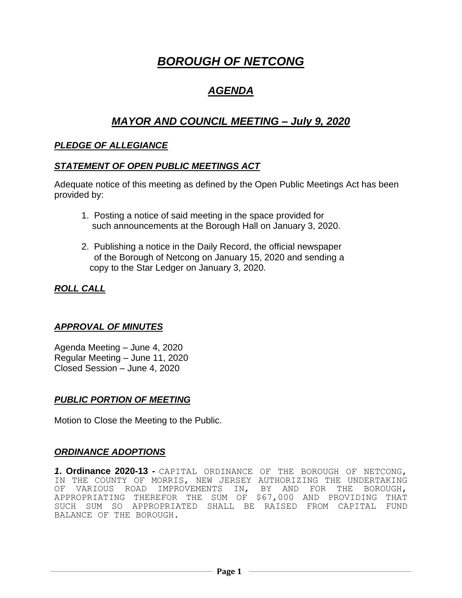# *BOROUGH OF NETCONG*

## *AGENDA*

## *MAYOR AND COUNCIL MEETING – July 9, 2020*

## *PLEDGE OF ALLEGIANCE*

#### *STATEMENT OF OPEN PUBLIC MEETINGS ACT*

Adequate notice of this meeting as defined by the Open Public Meetings Act has been provided by:

- 1. Posting a notice of said meeting in the space provided for such announcements at the Borough Hall on January 3, 2020.
- 2. Publishing a notice in the Daily Record, the official newspaper of the Borough of Netcong on January 15, 2020 and sending a copy to the Star Ledger on January 3, 2020.

## *ROLL CALL*

## *APPROVAL OF MINUTES*

Agenda Meeting – June 4, 2020 Regular Meeting – June 11, 2020 Closed Session – June 4, 2020

## *PUBLIC PORTION OF MEETING*

Motion to Close the Meeting to the Public.

## *ORDINANCE ADOPTIONS*

*1***. Ordinance 2020-13** *-* CAPITAL ORDINANCE OF THE BOROUGH OF NETCONG, IN THE COUNTY OF MORRIS, NEW JERSEY AUTHORIZING THE UNDERTAKING OF VARIOUS ROAD IMPROVEMENTS IN, BY AND FOR THE BOROUGH, APPROPRIATING THEREFOR THE SUM OF \$67,000 AND PROVIDING THAT SUCH SUM SO APPROPRIATED SHALL BE RAISED FROM CAPITAL FUND BALANCE OF THE BOROUGH.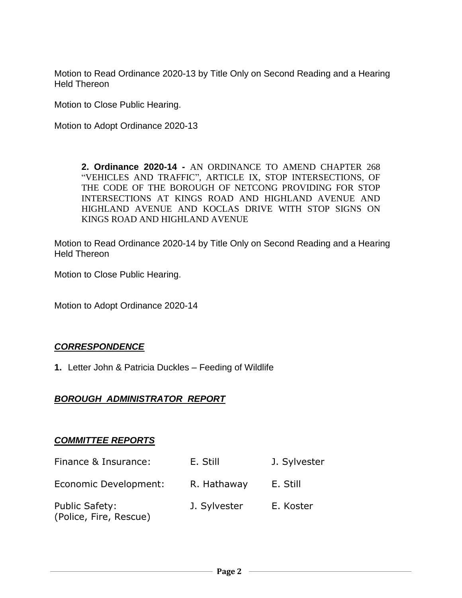Motion to Read Ordinance 2020-13 by Title Only on Second Reading and a Hearing Held Thereon

Motion to Close Public Hearing.

Motion to Adopt Ordinance 2020-13

**2. Ordinance 2020-14** *-* AN ORDINANCE TO AMEND CHAPTER 268 "VEHICLES AND TRAFFIC", ARTICLE IX, STOP INTERSECTIONS, OF THE CODE OF THE BOROUGH OF NETCONG PROVIDING FOR STOP INTERSECTIONS AT KINGS ROAD AND HIGHLAND AVENUE AND HIGHLAND AVENUE AND KOCLAS DRIVE WITH STOP SIGNS ON KINGS ROAD AND HIGHLAND AVENUE

Motion to Read Ordinance 2020-14 by Title Only on Second Reading and a Hearing Held Thereon

Motion to Close Public Hearing.

Motion to Adopt Ordinance 2020-14

## *CORRESPONDENCE*

**1.** Letter John & Patricia Duckles – Feeding of Wildlife

## *BOROUGH ADMINISTRATOR REPORT*

## *COMMITTEE REPORTS*

| Finance & Insurance:                     | E. Still     | J. Sylvester |
|------------------------------------------|--------------|--------------|
| Economic Development:                    | R. Hathaway  | E. Still     |
| Public Safety:<br>(Police, Fire, Rescue) | J. Sylvester | E. Koster    |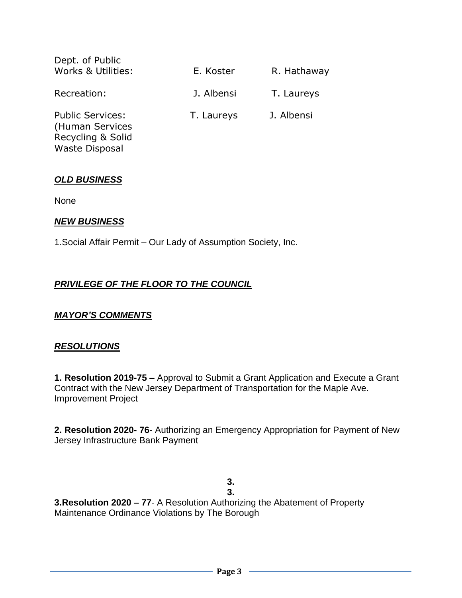| Dept. of Public<br>Works & Utilities:                                                    | E. Koster  | R. Hathaway |
|------------------------------------------------------------------------------------------|------------|-------------|
| Recreation:                                                                              | J. Albensi | T. Laureys  |
| <b>Public Services:</b><br>(Human Services<br>Recycling & Solid<br><b>Waste Disposal</b> | T. Laureys | J. Albensi  |

#### *OLD BUSINESS*

None

#### *NEW BUSINESS*

1.Social Affair Permit – Our Lady of Assumption Society, Inc.

## *PRIVILEGE OF THE FLOOR TO THE COUNCIL*

## *MAYOR'S COMMENTS*

#### *RESOLUTIONS*

**1. Resolution 2019-75 –** Approval to Submit a Grant Application and Execute a Grant Contract with the New Jersey Department of Transportation for the Maple Ave. Improvement Project

**2. Resolution 2020- 76**- Authorizing an Emergency Appropriation for Payment of New Jersey Infrastructure Bank Payment

> **3. 3.**

**3.Resolution 2020 – 77**- A Resolution Authorizing the Abatement of Property Maintenance Ordinance Violations by The Borough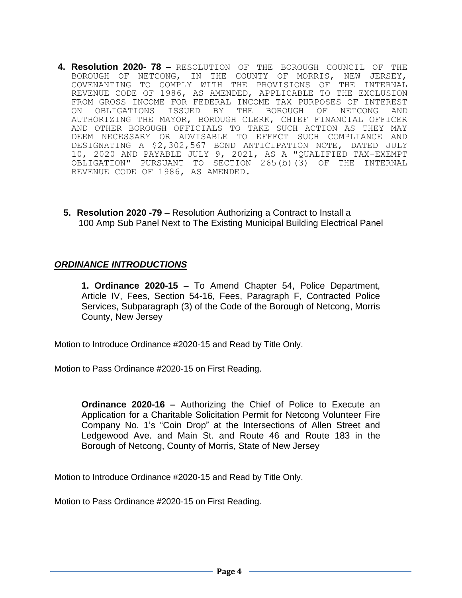- **4. Resolution 2020- 78 –** RESOLUTION OF THE BOROUGH COUNCIL OF THE BOROUGH OF NETCONG, IN THE COUNTY OF MORRIS, NEW JERSEY, COVENANTING TO COMPLY WITH THE PROVISIONS OF THE INTERNAL REVENUE CODE OF 1986, AS AMENDED, APPLICABLE TO THE EXCLUSION FROM GROSS INCOME FOR FEDERAL INCOME TAX PURPOSES OF INTEREST ON OBLIGATIONS ISSUED BY THE BOROUGH OF NETCONG AND AUTHORIZING THE MAYOR, BOROUGH CLERK, CHIEF FINANCIAL OFFICER AND OTHER BOROUGH OFFICIALS TO TAKE SUCH ACTION AS THEY MAY DEEM NECESSARY OR ADVISABLE TO EFFECT SUCH COMPLIANCE AND DESIGNATING A \$2,302,567 BOND ANTICIPATION NOTE, DATED JULY 10, 2020 AND PAYABLE JULY 9, 2021, AS A "QUALIFIED TAX-EXEMPT OBLIGATION" PURSUANT TO SECTION 265(b)(3) OF THE INTERNAL REVENUE CODE OF 1986, AS AMENDED.
	- **5. Resolution 2020 -79** Resolution Authorizing a Contract to Install a 100 Amp Sub Panel Next to The Existing Municipal Building Electrical Panel

#### *ORDINANCE INTRODUCTIONS*

**1. Ordinance 2020-15 –** To Amend Chapter 54, Police Department, Article IV, Fees, Section 54-16, Fees, Paragraph F, Contracted Police Services, Subparagraph (3) of the Code of the Borough of Netcong, Morris County, New Jersey

Motion to Introduce Ordinance #2020-15 and Read by Title Only.

Motion to Pass Ordinance #2020-15 on First Reading.

**Ordinance 2020-16 –** Authorizing the Chief of Police to Execute an Application for a Charitable Solicitation Permit for Netcong Volunteer Fire Company No. 1's "Coin Drop" at the Intersections of Allen Street and Ledgewood Ave. and Main St. and Route 46 and Route 183 in the Borough of Netcong, County of Morris, State of New Jersey

Motion to Introduce Ordinance #2020-15 and Read by Title Only.

Motion to Pass Ordinance #2020-15 on First Reading.